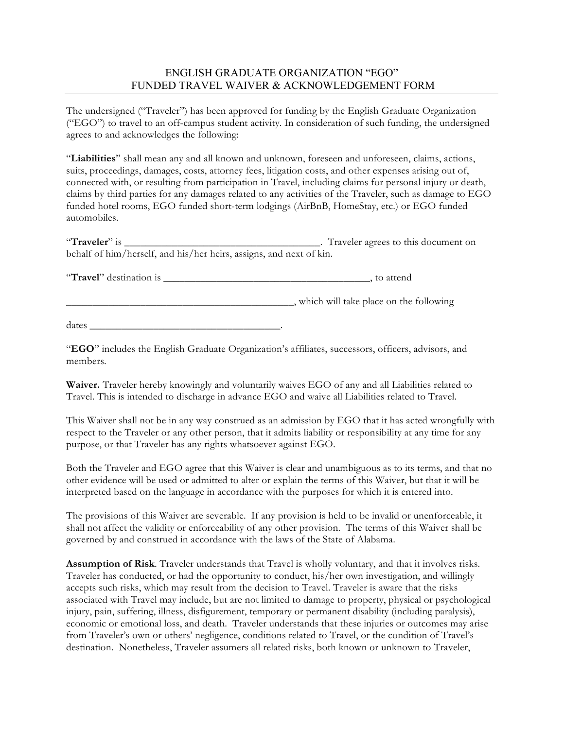## ENGLISH GRADUATE ORGANIZATION "EGO" FUNDED TRAVEL WAIVER & ACKNOWLEDGEMENT FORM

The undersigned ("Traveler") has been approved for funding by the English Graduate Organization ("EGO") to travel to an off-campus student activity. In consideration of such funding, the undersigned agrees to and acknowledges the following:

"**Liabilities**" shall mean any and all known and unknown, foreseen and unforeseen, claims, actions, suits, proceedings, damages, costs, attorney fees, litigation costs, and other expenses arising out of, connected with, or resulting from participation in Travel, including claims for personal injury or death, claims by third parties for any damages related to any activities of the Traveler, such as damage to EGO funded hotel rooms, EGO funded short-term lodgings (AirBnB, HomeStay, etc.) or EGO funded automobiles.

"**Traveler**" is \_\_\_\_\_\_\_\_\_\_\_\_\_\_\_\_\_\_\_\_\_\_\_\_\_\_\_\_\_\_\_\_\_\_\_\_\_. Traveler agrees to this document on behalf of him/herself, and his/her heirs, assigns, and next of kin.

"**Travel**" destination is \_\_\_\_\_\_\_\_\_\_\_\_\_\_\_\_\_\_\_\_\_\_\_\_\_\_\_\_\_\_\_\_\_\_\_\_\_\_\_, to attend

\_\_\_\_\_\_\_\_\_\_\_\_\_\_\_\_\_\_\_\_\_\_\_\_\_\_\_\_\_\_\_\_\_\_\_\_\_\_\_\_\_\_\_, which will take place on the following

 $\frac{d\text{ates}}{dt}$ 

"**EGO**" includes the English Graduate Organization's affiliates, successors, officers, advisors, and members.

**Waiver.** Traveler hereby knowingly and voluntarily waives EGO of any and all Liabilities related to Travel. This is intended to discharge in advance EGO and waive all Liabilities related to Travel.

This Waiver shall not be in any way construed as an admission by EGO that it has acted wrongfully with respect to the Traveler or any other person, that it admits liability or responsibility at any time for any purpose, or that Traveler has any rights whatsoever against EGO.

Both the Traveler and EGO agree that this Waiver is clear and unambiguous as to its terms, and that no other evidence will be used or admitted to alter or explain the terms of this Waiver, but that it will be interpreted based on the language in accordance with the purposes for which it is entered into.

The provisions of this Waiver are severable. If any provision is held to be invalid or unenforceable, it shall not affect the validity or enforceability of any other provision. The terms of this Waiver shall be governed by and construed in accordance with the laws of the State of Alabama.

**Assumption of Risk**. Traveler understands that Travel is wholly voluntary, and that it involves risks. Traveler has conducted, or had the opportunity to conduct, his/her own investigation, and willingly accepts such risks, which may result from the decision to Travel. Traveler is aware that the risks associated with Travel may include, but are not limited to damage to property, physical or psychological injury, pain, suffering, illness, disfigurement, temporary or permanent disability (including paralysis), economic or emotional loss, and death. Traveler understands that these injuries or outcomes may arise from Traveler's own or others' negligence, conditions related to Travel, or the condition of Travel's destination. Nonetheless, Traveler assumers all related risks, both known or unknown to Traveler,